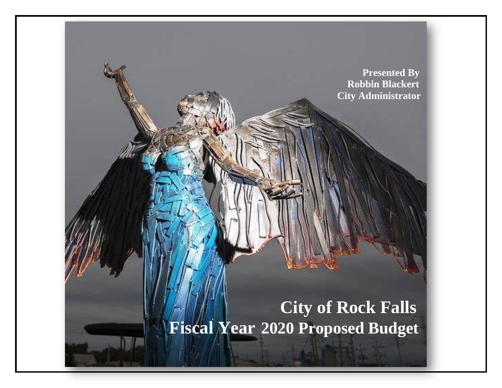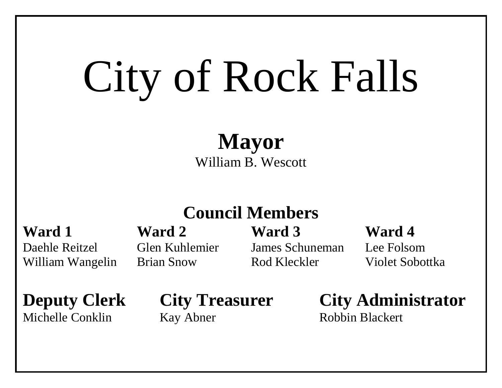# City of Rock Falls

**Mayor** William B. Wescott

## **Council Members**

Daehle Reitzel Glen Kuhlemier James Schuneman Lee Folsom William Wangelin Brian Snow Rod Kleckler Violet Sobottka

**Ward 1 Ward 2 Ward 3 Ward 4**

**Deputy Clerk City Treasurer City Administrator**

Michelle Conklin Kay Abner Robbin Blackert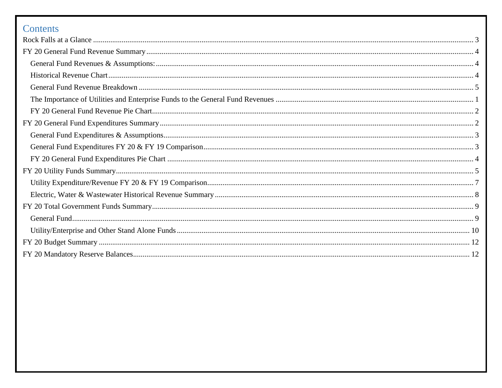## Contents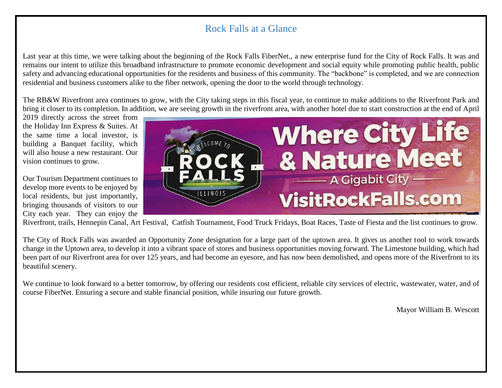## Rock Falls at a Glance

<span id="page-3-0"></span>Last year at this time, we were talking about the beginning of the Rock Falls FiberNet., a new enterprise fund for the City of Rock Falls. It was and remains our intent to utilize this broadband infrastructure to promote economic development and social equity while promoting public health, public safety and advancing educational opportunities for the residents and business of this community. The "backbone" is completed, and we are connection residential and business customers alike to the fiber network, opening the door to the world through technology.

The RB&W Riverfront area continues to grow, with the City taking steps in this fiscal year, to continue to make additions to the Riverfront Park and bring it closer to its completion. In addition, we are seeing growth in the riverfront area, with another hotel due to start construction at the end of April

2019 directly across the street from the Holiday Inn Express & Suites. At the same time a local investor, is building a Banquet facility, which will also house a new restaurant. Our vision continues to grow.

Our Tourism Department continues to develop more events to be enjoyed by local residents, but just importantly, bringing thousands of visitors to our City each year. They can enjoy the



Riverfront, trails, Hennepin Canal, Art Festival, Catfish Tournament, Food Truck Fridays, Boat Races, Taste of Fiesta and the list continues to grow.

The City of Rock Falls was awarded an Opportunity Zone designation for a large part of the uptown area. It gives us another tool to work towards change in the Uptown area, to develop it into a vibrant space of stores and business opportunities moving forward. The Limestone building, which had been part of our Riverfront area for over 125 years, and had become an eyesore, and has now been demolished, and opens more of the Riverfront to its beautiful scenery.

We continue to look forward to a better tomorrow, by offering our residents cost efficient, reliable city services of electric, wastewater, water, and of course FiberNet. Ensuring a secure and stable financial position, while insuring our future growth.

Mayor William B. Wescott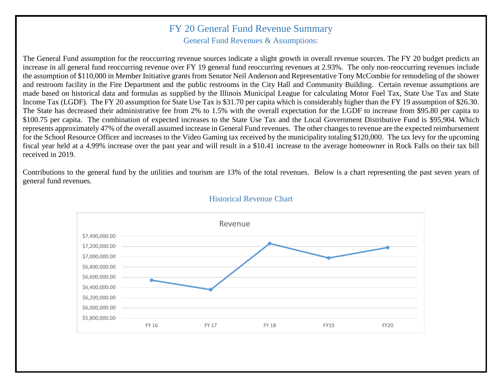#### <span id="page-4-0"></span>FY 20 General Fund Revenue Summary

General Fund Revenues & Assumptions:

<span id="page-4-1"></span>The General Fund assumption for the reoccurring revenue sources indicate a slight growth in overall revenue sources. The FY 20 budget predicts an increase in all general fund reoccurring revenue over FY 19 general fund reoccurring revenues at 2.93%. The only non-reoccurring revenues include the assumption of \$110,000 in Member Initiative grants from Senator Neil Anderson and Representative Tony McCombie for remodeling of the shower and restroom facility in the Fire Department and the public restrooms in the City Hall and Community Building. Certain revenue assumptions are made based on historical data and formulas as supplied by the Illinois Municipal League for calculating Motor Fuel Tax, State Use Tax and State Income Tax (LGDF). The FY 20 assumption for State Use Tax is \$31.70 per capita which is considerably higher than the FY 19 assumption of \$26.30. The State has decreased their administrative fee from 2% to 1.5% with the overall expectation for the LGDF to increase from \$95.80 per capita to \$100.75 per capita. The combination of expected increases to the State Use Tax and the Local Government Distributive Fund is \$95,904. Which represents approximately 47% of the overall assumed increase in General Fund revenues. The other changes to revenue are the expected reimbursement for the School Resource Officer and increases to the Video Gaming tax received by the municipality totaling \$120,000. The tax levy for the upcoming fiscal year held at a 4.99% increase over the past year and will result in a \$10.41 increase to the average homeowner in Rock Falls on their tax bill received in 2019.

<span id="page-4-2"></span>Contributions to the general fund by the utilities and tourism are 13% of the total revenues. Below is a chart representing the past seven years of general fund revenues.



#### Historical Revenue Chart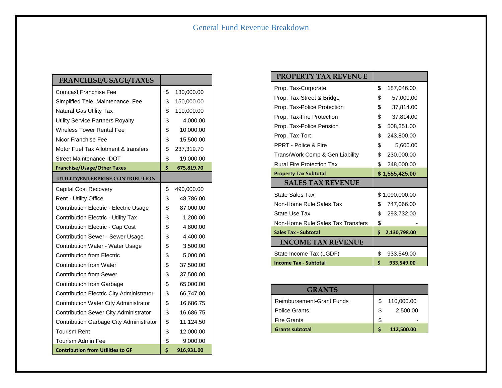<span id="page-5-0"></span>

| <b>FRANCHISE/USAGE/TAXES</b>                 |                  |
|----------------------------------------------|------------------|
| Comcast Franchise Fee                        | \$<br>130,000.00 |
| Simplified Tele. Maintenance. Fee            | \$<br>150,000.00 |
| <b>Natural Gas Utility Tax</b>               | \$<br>110,000.00 |
| <b>Utility Service Partners Royalty</b>      | \$<br>4,000.00   |
| <b>Wireless Tower Rental Fee</b>             | \$<br>10,000.00  |
| Nicor Franchise Fee                          | \$<br>15,500.00  |
| Motor Fuel Tax Allotment & transfers         | \$<br>237,319.70 |
| Street Maintenance-IDOT                      | \$<br>19,000.00  |
| <b>Franchise/Usage/Other Taxes</b>           | \$<br>675,819.70 |
| UTILITY/ENTERPRISE CONTRIBUTION              |                  |
| <b>Capital Cost Recovery</b>                 | \$<br>490,000.00 |
| Rent - Utility Office                        | \$<br>48,786.00  |
| Contribution Electric - Electric Usage       | \$<br>87,000.00  |
| Contribution Electric - Utility Tax          | \$<br>1,200.00   |
| <b>Contribution Electric - Cap Cost</b>      | \$<br>4,800.00   |
| <b>Contribution Sewer - Sewer Usage</b>      | \$<br>4,400.00   |
| Contribution Water - Water Usage             | \$<br>3,500.00   |
| <b>Contribution from Electric</b>            | \$<br>5,000.00   |
| <b>Contribution from Water</b>               | \$<br>37,500.00  |
| <b>Contribution from Sewer</b>               | \$<br>37,500.00  |
| <b>Contribution from Garbage</b>             | \$<br>65,000.00  |
| Contribution Electric City Administrator     | \$<br>66,747.00  |
| Contribution Water City Administrator        | \$<br>16,686.75  |
| <b>Contribution Sewer City Administrator</b> | \$<br>16,686.75  |
| Contribution Garbage City Administrator      | \$<br>11,124.50  |
| <b>Tourism Rent</b>                          | \$<br>12,000.00  |
| <b>Tourism Admin Fee</b>                     | \$<br>9,000.00   |
| <b>Contribution from Utilities to GF</b>     | \$<br>916,931.00 |

| <b>PROPERTY TAX REVENUE</b>       |                    |
|-----------------------------------|--------------------|
| Prop. Tax-Corporate               | \$<br>187,046.00   |
| Prop. Tax-Street & Bridge         | \$<br>57,000.00    |
| Prop. Tax-Police Protection       | \$<br>37,814.00    |
| Prop. Tax-Fire Protection         | \$<br>37,814.00    |
| Prop. Tax-Police Pension          | \$<br>508,351.00   |
| Prop. Tax-Tort                    | \$<br>243,800.00   |
| PPRT - Police & Fire              | \$<br>5,600.00     |
| Trans/Work Comp & Gen Liability   | \$<br>230,000.00   |
| <b>Rural Fire Protection Tax</b>  | \$<br>248,000.00   |
|                                   |                    |
| <b>Property Tax Subtotal</b>      | \$1,555,425.00     |
| <b>SALES TAX REVENUE</b>          |                    |
| <b>State Sales Tax</b>            | \$1,090,000.00     |
| Non-Home Rule Sales Tax           | \$<br>747,066.00   |
| State Use Tax                     | \$<br>293,732.00   |
| Non-Home Rule Sales Tax Transfers | \$                 |
| <b>Sales Tax - Subtotal</b>       | Ś.<br>2,130,798.00 |
| <b>INCOME TAX REVENUE</b>         |                    |
| State Income Tax (LGDF)           | \$<br>933,549.00   |

| <b>GRANTS</b>                    |                  |
|----------------------------------|------------------|
| <b>Reimbursement-Grant Funds</b> | \$<br>110,000.00 |
| <b>Police Grants</b>             | \$<br>2,500.00   |
| <b>Fire Grants</b>               | \$               |
| <b>Grants subtotal</b>           | 112,500.00       |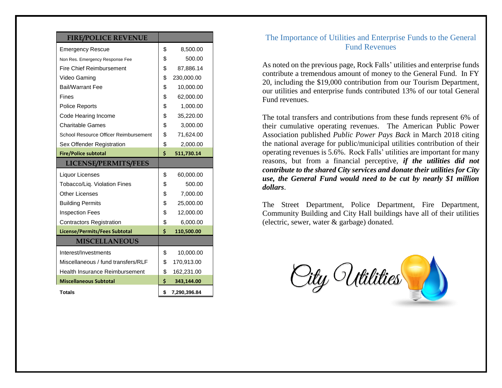#### **FIRE/POLICE REVENUE**

| <b>Emergency Rescue</b>               | \$<br>8,500.00     |
|---------------------------------------|--------------------|
| Non Res. Emergency Response Fee       | \$<br>500.00       |
| <b>Fire Chief Reimbursement</b>       | \$<br>87,886.14    |
| Video Gaming                          | \$<br>230,000.00   |
| <b>Bail/Warrant Fee</b>               | \$<br>10,000.00    |
| Fines                                 | \$<br>62,000.00    |
| <b>Police Reports</b>                 | \$<br>1,000.00     |
| Code Hearing Income                   | \$<br>35,220.00    |
| <b>Charitable Games</b>               | \$<br>3,000.00     |
| School Resource Officer Reimbursement | \$<br>71,624.00    |
| Sex Offender Registration             | \$<br>2,000.00     |
| <b>Fire/Police subtotal</b>           | \$<br>511,730.14   |
| <b>LICENSE/PERMITS/FEES</b>           |                    |
| Liquor Licenses                       | \$<br>60,000.00    |
| Tobacco/Liq. Violation Fines          | \$<br>500.00       |
| <b>Other Licenses</b>                 | \$<br>7,000.00     |
| <b>Building Permits</b>               | \$<br>25,000.00    |
| <b>Inspection Fees</b>                | \$<br>12,000.00    |
| <b>Contractors Registration</b>       | \$<br>6,000.00     |
| License/Permits/Fees Subtotal         | \$<br>110,500.00   |
| <b>MISCELLANEOUS</b>                  |                    |
| Interest/Investments                  | \$<br>10,000.00    |
| Miscellaneous / fund transfers/RLF    | \$<br>170,913.00   |
| Health Insurance Reimbursement        | \$<br>162,231.00   |
| <b>Miscellaneous Subtotal</b>         | \$<br>343,144.00   |
| Totals                                | \$<br>7,290,396.84 |

#### <span id="page-6-0"></span>The Importance of Utilities and Enterprise Funds to the General Fund Revenues

As noted on the previous page, Rock Falls' utilities and enterprise funds contribute a tremendous amount of money to the General Fund. In FY 20, including the \$19,000 contribution from our Tourism Department, our utilities and enterprise funds contributed 13% of our total General Fund revenues.

The total transfers and contributions from these funds represent 6% of their cumulative operating revenues. The American Public Power Association published *Public Power Pays Back* in March 2018 citing the national average for public/municipal utilities contribution of their operating revenues is 5.6%. Rock Falls' utilities are important for many reasons, but from a financial perceptive, *if the utilities did not contribute to the shared City services and donate their utilities for City use, the General Fund would need to be cut by nearly \$1 million dollars*.

The Street Department, Police Department, Fire Department, Community Building and City Hall buildings have all of their utilities (electric, sewer, water & garbage) donated.

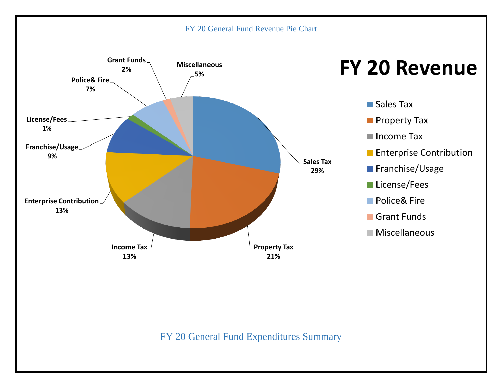#### FY 20 General Fund Revenue Pie Chart

<span id="page-7-1"></span><span id="page-7-0"></span>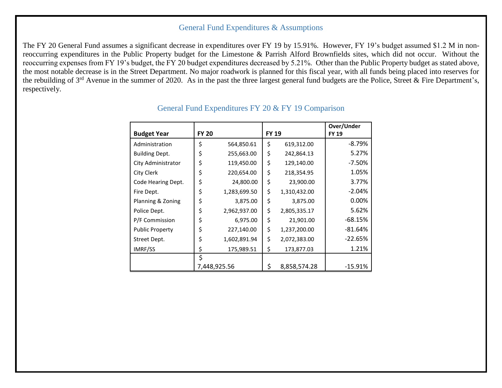#### General Fund Expenditures & Assumptions

<span id="page-8-1"></span><span id="page-8-0"></span>The FY 20 General Fund assumes a significant decrease in expenditures over FY 19 by 15.91%. However, FY 19's budget assumed \$1.2 M in nonreoccurring expenditures in the Public Property budget for the Limestone & Parrish Alford Brownfields sites, which did not occur. Without the reoccurring expenses from FY 19's budget, the FY 20 budget expenditures decreased by 5.21%. Other than the Public Property budget as stated above, the most notable decrease is in the Street Department. No major roadwork is planned for this fiscal year, with all funds being placed into reserves for the rebuilding of 3<sup>rd</sup> Avenue in the summer of 2020. As in the past the three largest general fund budgets are the Police, Street & Fire Department's, respectively.

| <b>Budget Year</b>     | <b>FY 20</b> |              | <b>FY 19</b> |              | Over/Under<br><b>FY 19</b> |
|------------------------|--------------|--------------|--------------|--------------|----------------------------|
| Administration         | \$           | 564,850.61   | \$           | 619,312.00   | -8.79%                     |
| <b>Building Dept.</b>  | \$           | 255,663.00   | \$           | 242,864.13   | 5.27%                      |
| City Administrator     | \$           | 119,450.00   | \$           | 129,140.00   | $-7.50%$                   |
| City Clerk             | \$           | 220,654.00   | \$           | 218,354.95   | 1.05%                      |
| Code Hearing Dept.     | \$           | 24,800.00    | \$           | 23,900.00    | 3.77%                      |
| Fire Dept.             | \$           | 1,283,699.50 | \$           | 1,310,432.00 | $-2.04%$                   |
| Planning & Zoning      | \$           | 3,875.00     | \$           | 3,875.00     | 0.00%                      |
| Police Dept.           | \$           | 2,962,937.00 | \$           | 2,805,335.17 | 5.62%                      |
| P/F Commission         | \$           | 6,975.00     | \$           | 21,901.00    | -68.15%                    |
| <b>Public Property</b> | \$           | 227,140.00   | \$           | 1,237,200.00 | $-81.64%$                  |
| Street Dept.           | \$           | 1,602,891.94 | \$           | 2,072,383.00 | $-22.65%$                  |
| IMRF/SS                | \$           | 175,989.51   | \$           | 173,877.03   | 1.21%                      |
|                        | \$           |              |              |              |                            |
|                        | 7,448,925.56 |              | \$           | 8,858,574.28 | $-15.91%$                  |

#### General Fund Expenditures FY 20 & FY 19 Comparison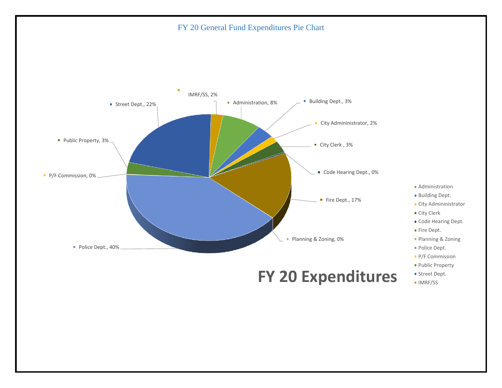FY 20 General Fund Expenditures Pie Chart

<span id="page-9-0"></span>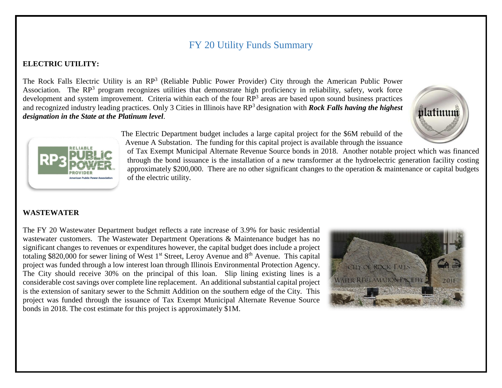## FY 20 Utility Funds Summary

#### <span id="page-10-0"></span>**ELECTRIC UTILITY:**

The Rock Falls Electric Utility is an RP<sup>3</sup> (Reliable Public Power Provider) City through the American Public Power Association. The RP<sup>3</sup> program recognizes utilities that demonstrate high proficiency in reliability, safety, work force development and system improvement. Criteria within each of the four  $RP^3$  areas are based upon sound business practices and recognized industry leading practices. Only 3 Cities in Illinois have RP<sup>3</sup> designation with *Rock Falls having the highest designation in the State at the Platinum level*.





The Electric Department budget includes a large capital project for the \$6M rebuild of the Avenue A Substation. The funding for this capital project is available through the issuance

of Tax Exempt Municipal Alternate Revenue Source bonds in 2018. Another notable project which was financed through the bond issuance is the installation of a new transformer at the hydroelectric generation facility costing approximately \$200,000. There are no other significant changes to the operation & maintenance or capital budgets of the electric utility.

#### **WASTEWATER**

The FY 20 Wastewater Department budget reflects a rate increase of 3.9% for basic residential wastewater customers. The Wastewater Department Operations & Maintenance budget has no significant changes to revenues or expenditures however, the capital budget does include a project totaling \$820,000 for sewer lining of West  $1<sup>st</sup>$  Street, Leroy Avenue and  $8<sup>th</sup>$  Avenue. This capital project was funded through a low interest loan through Illinois Environmental Protection Agency. The City should receive 30% on the principal of this loan. Slip lining existing lines is a considerable cost savings over complete line replacement. An additional substantial capital project is the extension of sanitary sewer to the Schmitt Addition on the southern edge of the City. This project was funded through the issuance of Tax Exempt Municipal Alternate Revenue Source bonds in 2018. The cost estimate for this project is approximately \$1M.

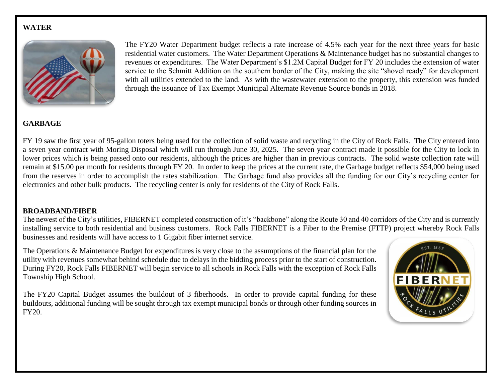#### **WATER**



The FY20 Water Department budget reflects a rate increase of 4.5% each year for the next three years for basic residential water customers. The Water Department Operations & Maintenance budget has no substantial changes to revenues or expenditures. The Water Department's \$1.2M Capital Budget for FY 20 includes the extension of water service to the Schmitt Addition on the southern border of the City, making the site "shovel ready" for development with all utilities extended to the land. As with the wastewater extension to the property, this extension was funded through the issuance of Tax Exempt Municipal Alternate Revenue Source bonds in 2018.

#### **GARBAGE**

FY 19 saw the first year of 95-gallon toters being used for the collection of solid waste and recycling in the City of Rock Falls. The City entered into a seven year contract with Moring Disposal which will run through June 30, 2025. The seven year contract made it possible for the City to lock in lower prices which is being passed onto our residents, although the prices are higher than in previous contracts. The solid waste collection rate will remain at \$15.00 per month for residents through FY 20. In order to keep the prices at the current rate, the Garbage budget reflects \$54,000 being used from the reserves in order to accomplish the rates stabilization. The Garbage fund also provides all the funding for our City's recycling center for electronics and other bulk products. The recycling center is only for residents of the City of Rock Falls.

#### **BROADBAND/FIBER**

The newest of the City's utilities, FIBERNET completed construction of it's "backbone" along the Route 30 and 40 corridors of the City and is currently installing service to both residential and business customers. Rock Falls FIBERNET is a Fiber to the Premise (FTTP) project whereby Rock Falls businesses and residents will have access to 1 Gigabit fiber internet service.

The Operations & Maintenance Budget for expenditures is very close to the assumptions of the financial plan for the utility with revenues somewhat behind schedule due to delays in the bidding process prior to the start of construction. During FY20, Rock Falls FIBERNET will begin service to all schools in Rock Falls with the exception of Rock Falls Township High School.

The FY20 Capital Budget assumes the buildout of 3 fiberhoods. In order to provide capital funding for these buildouts, additional funding will be sought through tax exempt municipal bonds or through other funding sources in FY20.

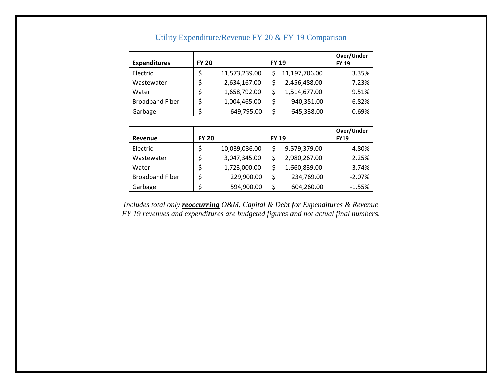<span id="page-12-0"></span>

| <b>Expenditures</b>    | <b>FY 20</b> |               | <b>FY 19</b> |               | Over/Under<br><b>FY 19</b> |
|------------------------|--------------|---------------|--------------|---------------|----------------------------|
| Electric               |              | 11,573,239.00 |              | 11,197,706.00 | 3.35%                      |
| Wastewater             |              | 2,634,167.00  |              | 2,456,488.00  | 7.23%                      |
| Water                  |              | 1,658,792.00  |              | 1,514,677.00  | 9.51%                      |
| <b>Broadband Fiber</b> |              | 1,004,465.00  | \$           | 940,351.00    | 6.82%                      |
| Garbage                |              | 649,795.00    | S            | 645,338.00    | 0.69%                      |

#### Utility Expenditure/Revenue FY 20 & FY 19 Comparison

|                        |              |               |              |              | Over/Under  |
|------------------------|--------------|---------------|--------------|--------------|-------------|
| Revenue                | <b>FY 20</b> |               | <b>FY 19</b> |              | <b>FY19</b> |
| Electric               |              | 10,039,036.00 |              | 9,579,379.00 | 4.80%       |
| Wastewater             |              | 3,047,345.00  |              | 2,980,267.00 | 2.25%       |
| Water                  |              | 1,723,000.00  |              | 1,660,839.00 | 3.74%       |
| <b>Broadband Fiber</b> |              | 229,900.00    | \$           | 234,769.00   | $-2.07%$    |
| Garbage                |              | 594,900.00    | \$           | 604,260.00   | $-1.55%$    |

*Includes total only reoccurring O&M, Capital & Debt for Expenditures & Revenue FY 19 revenues and expenditures are budgeted figures and not actual final numbers.*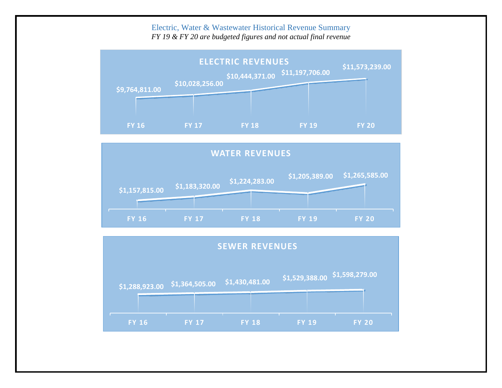#### Electric, Water & Wastewater Historical Revenue Summary

*FY 19 & FY 20 are budgeted figures and not actual final revenue*

<span id="page-13-0"></span>



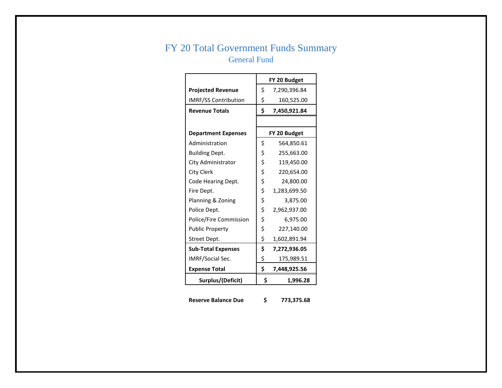## <span id="page-14-1"></span><span id="page-14-0"></span>FY 20 Total Government Funds Summary General Fund

|                             | FY 20 Budget       |
|-----------------------------|--------------------|
| <b>Projected Revenue</b>    | \$<br>7,290,396.84 |
| <b>IMRF/SS Contribution</b> | \$<br>160,525.00   |
| <b>Revenue Totals</b>       | \$<br>7,450,921.84 |
|                             |                    |
| <b>Department Expenses</b>  | FY 20 Budget       |
| Administration              | \$<br>564,850.61   |
| <b>Building Dept.</b>       | \$<br>255,663.00   |
| City Administrator          | \$<br>119,450.00   |
| City Clerk                  | \$<br>220,654.00   |
| Code Hearing Dept.          | \$<br>24,800.00    |
| Fire Dept.                  | \$<br>1,283,699.50 |
| Planning & Zoning           | \$<br>3,875.00     |
| Police Dept.                | \$<br>2,962,937.00 |
| Police/Fire Commission      | \$<br>6,975.00     |
| <b>Public Property</b>      | \$<br>227,140.00   |
| Street Dept.                | \$<br>1,602,891.94 |
| <b>Sub-Total Expenses</b>   | \$<br>7,272,936.05 |
| IMRF/Social Sec.            | \$<br>175,989.51   |
| <b>Expense Total</b>        | \$<br>7,448,925.56 |
| Surplus/(Deficit)           | \$<br>1,996.28     |

**Reserve Balance Due \$ 773,375.68**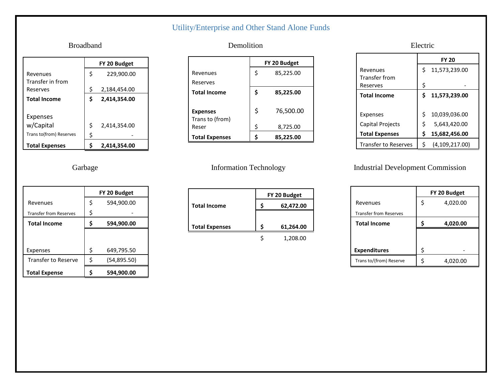## Utility/Enterprise and Other Stand Alone Funds

|                         |    | FY 20 Budget |
|-------------------------|----|--------------|
| Revenues                | Ś  | 229,900.00   |
| Transfer in from        |    |              |
| Reserves                | Ś  | 2,184,454.00 |
| <b>Total Income</b>     | Ś  | 2,414,354.00 |
| Expenses                |    |              |
| w/Capital               | \$ | 2,414,354.00 |
|                         |    |              |
| Trans to(from) Reserves | \$ |              |
| <b>Total Expenses</b>   |    | 2.414.354.00 |

|                               |    | FY 20 Budget |
|-------------------------------|----|--------------|
| Revenues                      | \$ | 594,900.00   |
| <b>Transfer from Reserves</b> | \$ |              |
| <b>Total Income</b>           | \$ | 594,900.00   |
|                               |    |              |
|                               |    |              |
| Expenses                      | Ś  | 649,795.50   |
| <b>Transfer to Reserve</b>    | Ś  | (54, 895.50) |
| <b>Total Expense</b>          |    | 594,900.00   |

#### <span id="page-15-0"></span>Broadband **Demolition** Demolition **Electric**

|                       | FY 20 Budget    |
|-----------------------|-----------------|
| Revenues              | \$<br>85,225.00 |
| Reserves              |                 |
| <b>Total Income</b>   | \$<br>85,225.00 |
|                       |                 |
| <b>Expenses</b>       | \$<br>76,500.00 |
| Trans to (from)       |                 |
| Reser                 | \$<br>8,725.00  |
| <b>Total Expenses</b> | 85,225.00       |

|                       | FY 20 Budget |           |  |
|-----------------------|--------------|-----------|--|
| <b>Total Income</b>   |              | 62,472.00 |  |
|                       |              |           |  |
| <b>Total Expenses</b> |              | 61,264.00 |  |
|                       |              | 1,208.00  |  |

|                             | <b>FY 20</b> |                  |  |  |
|-----------------------------|--------------|------------------|--|--|
| Revenues                    | \$           | 11,573,239.00    |  |  |
| Transfer from               |              |                  |  |  |
| Reserves                    | \$           |                  |  |  |
| <b>Total Income</b>         | S            | 11,573,239.00    |  |  |
|                             |              |                  |  |  |
| Expenses                    | Ś            | 10,039,036.00    |  |  |
| <b>Capital Projects</b>     | Ś            | 5,643,420.00     |  |  |
| <b>Total Expenses</b>       | \$           | 15,682,456.00    |  |  |
| <b>Transfer to Reserves</b> | Ś            | (4, 109, 217.00) |  |  |

#### Garbage Information Technology Industrial Development Commission

|                               | FY 20 Budget |          |  |  |  |
|-------------------------------|--------------|----------|--|--|--|
| Revenues                      | \$           | 4,020.00 |  |  |  |
| <b>Transfer from Reserves</b> |              |          |  |  |  |
| <b>Total Income</b>           |              | 4,020.00 |  |  |  |
|                               |              |          |  |  |  |
|                               |              |          |  |  |  |
| <b>Expenditures</b>           | \$           |          |  |  |  |
| Trans to/(from) Reserve       | Ś            | 4,020.00 |  |  |  |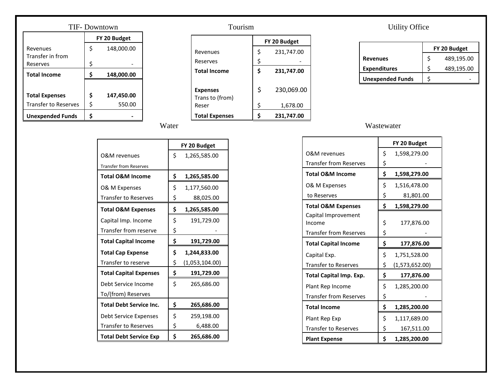| TIF-Downtown                |                  |            |  |  |
|-----------------------------|------------------|------------|--|--|
|                             | FY 20 Budget     |            |  |  |
| Revenues                    | \$               | 148,000.00 |  |  |
| Transfer in from            |                  |            |  |  |
| Reserves                    | \$               |            |  |  |
| <b>Total Income</b>         | \$<br>148,000.00 |            |  |  |
|                             |                  |            |  |  |
| <b>Total Expenses</b>       | \$               | 147,450.00 |  |  |
| <b>Transfer to Reserves</b> | \$               | 550.00     |  |  |
| <b>Unexpended Funds</b>     | S                |            |  |  |

## Tourism Utility Office **FY 20 Budget** Revenues  $\begin{vmatrix} 5 & 231,747.00 \end{vmatrix}$ Reserves  $\begin{array}{ccc} \vert & \zeta & \vert & \vert \end{array}$ **Total Income \$ 231,747.00 Expenses**  $\begin{vmatrix} 5 & 230,069.00 \end{vmatrix}$

**Total Expenses \$ 231,747.00** 

 $$ 1,678.00$ 

Trans to (from)

|                         | FY 20 Budget |  |  |  |  |
|-------------------------|--------------|--|--|--|--|
| <b>Revenues</b>         | 489,195.00   |  |  |  |  |
| <b>Expenditures</b>     | 489,195.00   |  |  |  |  |
| <b>Unexpended Funds</b> |              |  |  |  |  |

#### Water Wastewater Wastewater

|                               | FY 20 Budget |                |  |
|-------------------------------|--------------|----------------|--|
| O&M revenues                  | \$           | 1,598,279.00   |  |
| <b>Transfer from Reserves</b> | \$           |                |  |
| <b>Total O&amp;M Income</b>   | \$           | 1,598,279.00   |  |
| O& M Expenses                 | \$           | 1,516,478.00   |  |
| to Reserves                   | \$           | 81,801.00      |  |
| <b>Total O&amp;M Expenses</b> | \$           | 1,598,279.00   |  |
| Capital Improvement<br>Income | \$           | 177,876.00     |  |
| <b>Transfer from Reserves</b> | \$           |                |  |
| <b>Total Capital Income</b>   | \$           | 177,876.00     |  |
| Capital Exp.                  | \$           | 1,751,528.00   |  |
| <b>Transfer to Reserves</b>   | \$           | (1,573,652.00) |  |
| Total Capital Imp. Exp.       | \$           | 177,876.00     |  |
| Plant Rep Income              | \$           | 1,285,200.00   |  |
| <b>Transfer from Reserves</b> | \$           |                |  |
| <b>Total Income</b>           | \$           | 1,285,200.00   |  |
| Plant Rep Exp                 | \$           | 1,117,689.00   |  |
| <b>Transfer to Reserves</b>   | \$           | 167,511.00     |  |
| <b>Plant Expense</b>          | \$           | 1,285,200.00   |  |

|                                | FY 20 Budget |                |  |
|--------------------------------|--------------|----------------|--|
| O&M revenues                   | \$           | 1,265,585.00   |  |
| <b>Transfer from Reserves</b>  |              |                |  |
| <b>Total O&amp;M Income</b>    | \$           | 1,265,585.00   |  |
| O& M Expenses                  | \$           | 1,177,560.00   |  |
| <b>Transfer to Reserves</b>    | \$           | 88,025.00      |  |
| <b>Total O&amp;M Expenses</b>  | \$           | 1,265,585.00   |  |
| Capital Imp. Income            | \$           | 191,729.00     |  |
| Transfer from reserve          | \$           |                |  |
| <b>Total Capital Income</b>    | \$           | 191,729.00     |  |
| <b>Total Cap Expense</b>       | \$           | 1,244,833.00   |  |
| Transfer to reserve            | \$           | (1,053,104.00) |  |
| <b>Total Capital Expenses</b>  | \$           | 191,729.00     |  |
| Debt Service Income            | \$           | 265,686.00     |  |
| To/(from) Reserves             |              |                |  |
| <b>Total Debt Service Inc.</b> | Ś            | 265,686.00     |  |
| <b>Debt Service Expenses</b>   | \$           | 259,198.00     |  |
| <b>Transfer to Reserves</b>    | \$           | 6,488.00       |  |
| <b>Total Debt Service Exp</b>  | \$           | 265,686.00     |  |